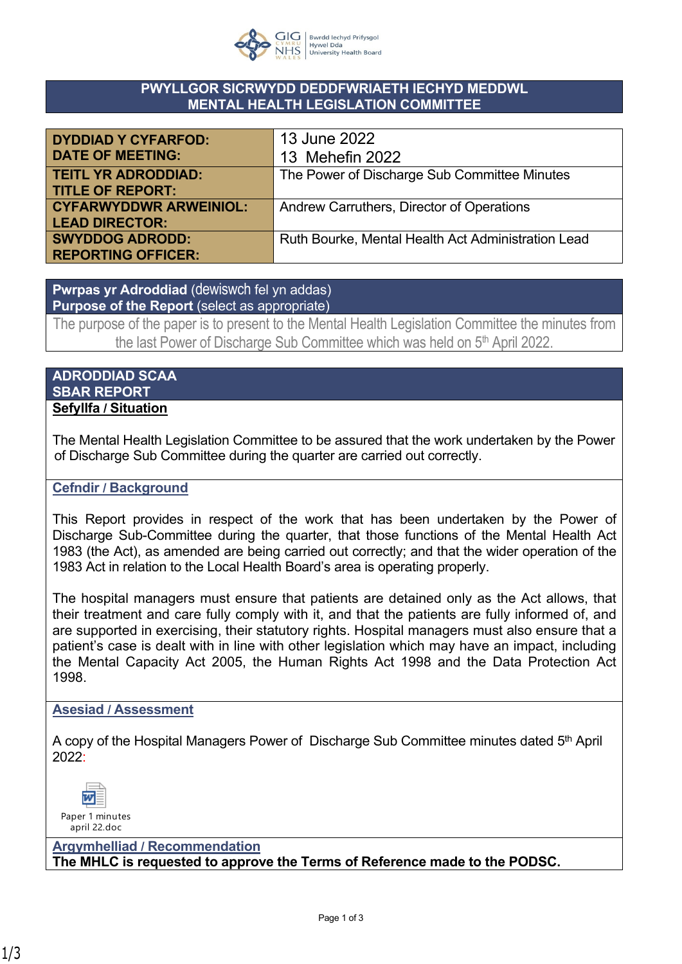

### **PWYLLGOR SICRWYDD DEDDFWRIAETH IECHYD MEDDWL MENTAL HEALTH LEGISLATION COMMITTEE**

| <b>DYDDIAD Y CYFARFOD:</b>    | 13 June 2022                                       |
|-------------------------------|----------------------------------------------------|
| <b>DATE OF MEETING:</b>       | 13 Mehefin 2022                                    |
| <b>TEITL YR ADRODDIAD:</b>    | The Power of Discharge Sub Committee Minutes       |
| <b>TITLE OF REPORT:</b>       |                                                    |
| <b>CYFARWYDDWR ARWEINIOL:</b> | Andrew Carruthers, Director of Operations          |
| <b>LEAD DIRECTOR:</b>         |                                                    |
| <b>SWYDDOG ADRODD:</b>        | Ruth Bourke, Mental Health Act Administration Lead |
| <b>REPORTING OFFICER:</b>     |                                                    |

**Pwrpas yr Adroddiad** (dewiswch fel yn addas) **Purpose of the Report** (select as appropriate)

The purpose of the paper is to present to the Mental Health Legislation Committee the minutes from the last Power of Discharge Sub Committee which was held on 5<sup>th</sup> April 2022.

#### **ADRODDIAD SCAA SBAR REPORT Sefyllfa / Situation**

The Mental Health Legislation Committee to be assured that the work undertaken by the Power of Discharge Sub Committee during the quarter are carried out correctly.

## **Cefndir / Background**

This Report provides in respect of the work that has been undertaken by the Power of Discharge Sub-Committee during the quarter, that those functions of the Mental Health Act 1983 (the Act), as amended are being carried out correctly; and that the wider operation of the 1983 Act in relation to the Local Health Board's area is operating properly.

The hospital managers must ensure that patients are detained only as the Act allows, that their treatment and care fully comply with it, and that the patients are fully informed of, and are supported in exercising, their statutory rights. Hospital managers must also ensure that a patient's case is dealt with in line with other legislation which may have an impact, including the Mental Capacity Act 2005, the Human Rights Act 1998 and the Data Protection Act 1998.

#### **Asesiad / Assessment**

A copy of the Hospital Managers Power of Discharge Sub Committee minutes dated 5<sup>th</sup> April 2022:



**Argymhelliad / Recommendation The MHLC is requested to approve the Terms of Reference made to the PODSC.**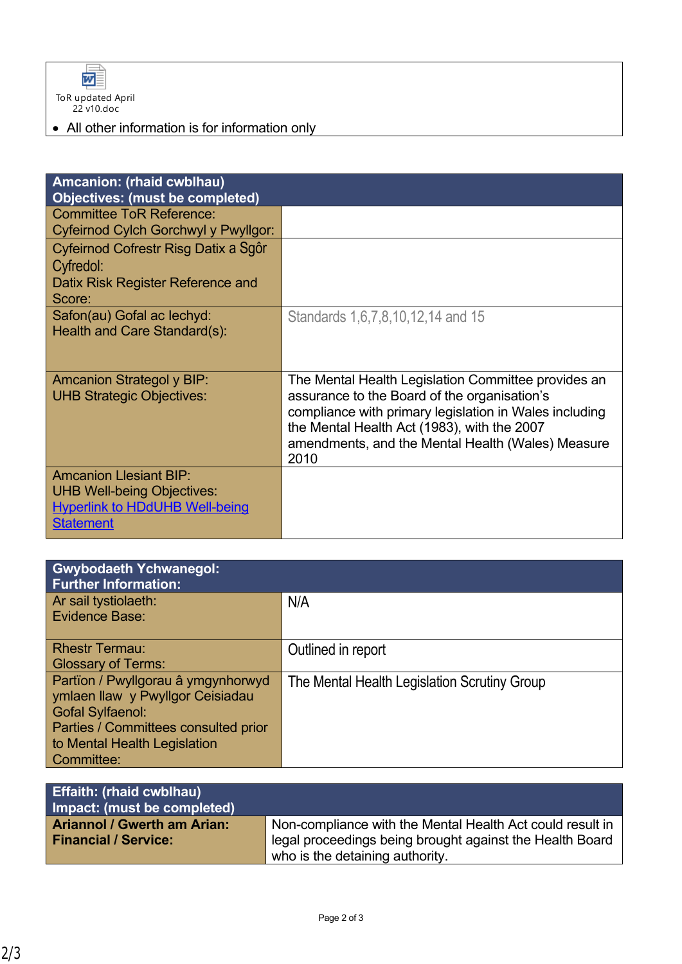

# • All other information is for information only

| Amcanion: (rhaid cwblhau)<br>Objectives: (must be completed)                                                                    |                                                                                                                                                                                                                                                                           |
|---------------------------------------------------------------------------------------------------------------------------------|---------------------------------------------------------------------------------------------------------------------------------------------------------------------------------------------------------------------------------------------------------------------------|
| <b>Committee ToR Reference:</b><br>Cyfeirnod Cylch Gorchwyl y Pwyllgor:                                                         |                                                                                                                                                                                                                                                                           |
| Cyfeirnod Cofrestr Risg Datix a Sgôr<br>Cyfredol:<br>Datix Risk Register Reference and<br>Score:                                |                                                                                                                                                                                                                                                                           |
| Safon(au) Gofal ac lechyd:<br>Health and Care Standard(s):                                                                      | Standards 1, 6, 7, 8, 10, 12, 14 and 15                                                                                                                                                                                                                                   |
| <b>Amcanion Strategol y BIP:</b><br><b>UHB Strategic Objectives:</b>                                                            | The Mental Health Legislation Committee provides an<br>assurance to the Board of the organisation's<br>compliance with primary legislation in Wales including<br>the Mental Health Act (1983), with the 2007<br>amendments, and the Mental Health (Wales) Measure<br>2010 |
| <b>Amcanion Llesiant BIP:</b><br><b>UHB Well-being Objectives:</b><br><b>Hyperlink to HDdUHB Well-being</b><br><b>Statement</b> |                                                                                                                                                                                                                                                                           |

| <b>Gwybodaeth Ychwanegol:</b><br><b>Further Information:</b>                                                                                                                            |                                              |
|-----------------------------------------------------------------------------------------------------------------------------------------------------------------------------------------|----------------------------------------------|
| Ar sail tystiolaeth:<br><b>Evidence Base:</b>                                                                                                                                           | N/A                                          |
| <b>Rhestr Termau:</b><br><b>Glossary of Terms:</b>                                                                                                                                      | Outlined in report                           |
| Partïon / Pwyllgorau â ymgynhorwyd<br>ymlaen llaw y Pwyllgor Ceisiadau<br><b>Gofal Sylfaenol:</b><br>Parties / Committees consulted prior<br>to Mental Health Legislation<br>Committee: | The Mental Health Legislation Scrutiny Group |

| <b>Effaith: (rhaid cwblhau)</b><br>Impact: (must be completed) |                                                           |
|----------------------------------------------------------------|-----------------------------------------------------------|
| <b>Ariannol / Gwerth am Arian:</b>                             | Non-compliance with the Mental Health Act could result in |
| <b>Financial / Service:</b>                                    | legal proceedings being brought against the Health Board  |
|                                                                | who is the detaining authority.                           |